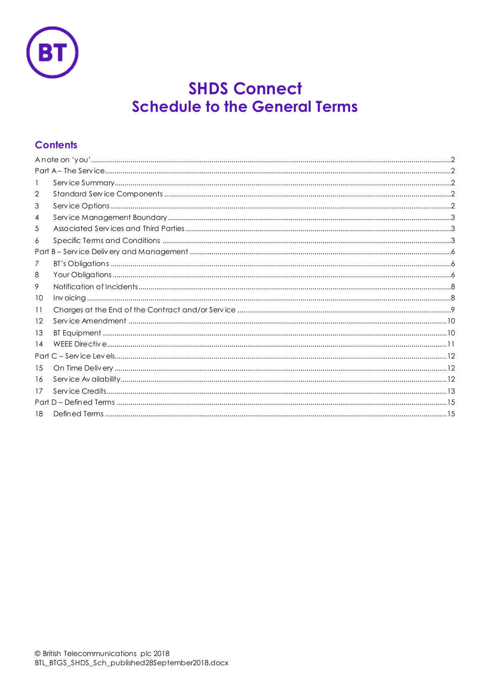

# **SHDS Connect Schedule to the General Terms**

# **Contents**

| 2  |  |
|----|--|
| 3  |  |
| 4  |  |
| 5  |  |
| 6  |  |
|    |  |
| 7  |  |
| 8  |  |
| 9. |  |
| 10 |  |
| 11 |  |
| 12 |  |
| 13 |  |
| 14 |  |
|    |  |
| 15 |  |
| 16 |  |
| 17 |  |
|    |  |
| 18 |  |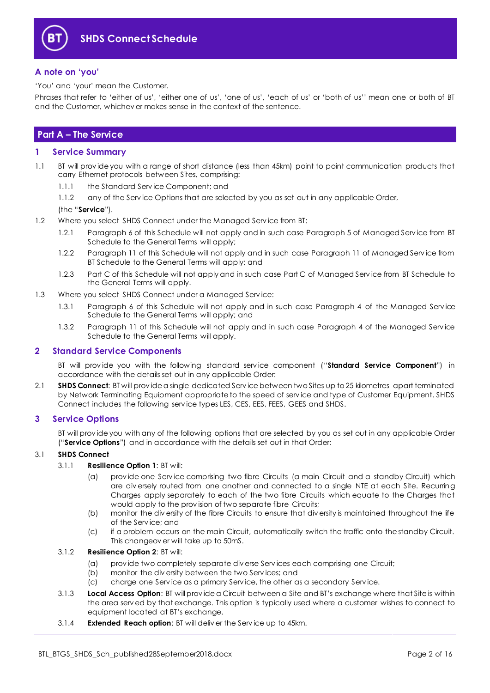

#### <span id="page-1-0"></span>**A note on 'you'**

'You' and 'your' mean the Customer.

Phrases that refer to 'either of us', 'either one of us', 'one of us', 'each of us' or 'both of us'' mean one or both of BT and the Customer, whichev er makes sense in the context of the sentence.

### <span id="page-1-1"></span>**Part A – The Service**

#### <span id="page-1-2"></span>**1 Service Summary**

- 1.1 BT will prov ide you with a range of short distance (less than 45km) point to point communication products that carry Ethernet protocols between Sites, comprising:
	- 1.1.1 the Standard Serv ice Component; and
	- 1.1.2 any of the Service Options that are selected by you as set out in any applicable Order,

#### (the "**Service**").

- 1.2 Where you select SHDS Connect under the Managed Service from BT:
	- 1.2.1 Paragraph 6 of this Schedule will not apply and in such case Paragraph 5 of Managed Serv ice from BT Schedule to the General Terms will apply;
	- 1.2.2 Paragraph 11 of this Schedule will not apply and in such case Paragraph 11 of Managed Serv ice from BT Schedule to the General Terms will apply; and
	- 1.2.3 Part C of this Schedule will not apply and in such case Part C of Managed Serv ice from BT Schedule to the General Terms will apply.
- 1.3 Where you select SHDS Connect under a Managed Service:
	- 1.3.1 Paragraph 6 of this Schedule will not apply and in such case Paragraph 4 of the Managed Serv ice Schedule to the General Terms will apply; and
	- 1.3.2 Paragraph 11 of this Schedule will not apply and in such case Paragraph 4 of the Managed Serv ice Schedule to the General Terms will apply.

#### <span id="page-1-3"></span>**2 Standard Service Components**

BT will prov ide you with the following standard serv ice component ("**Standard Service Component**") in accordance with the details set out in any applicable Order:

2.1 **SHDS Connect**: BT will prov ide a single dedicated Serv ice between two Sites up to 25 kilometres apart terminated by Network Terminating Equipment appropriate to the speed of serv ice and type of Customer Equipment. SHDS Connect includes the following serv ice types LES, CES, EES, FEES, GEES and SHDS.

#### <span id="page-1-4"></span>**3 Service Options**

BT will prov ide you with any of the following options that are selected by you as set out in any applicable Order ("**Service Options**") and in accordance with the details set out in that Order:

#### 3.1 **SHDS Connect**

#### 3.1.1 **Resilience Option 1**: BT will:

- (a) prov ide one Serv ice comprising two fibre Circuits (a main Circuit and a standby Circuit) which are div ersely routed from one another and connected to a single NTE at each Site. Recurring Charges apply separately to each of the two fibre Circuits which equate to the Charges that would apply to the prov ision of two separate fibre Circuits;
- (b) monitor the div ersity of the fibre Circuits to ensure that div ersity is maintained throughout the life of the Serv ice; and
- (c) if a problem occurs on the main Circuit, automatically switch the traffic onto the standby Circuit. This changeov er will take up to 50mS.

#### 3.1.2 **Resilience Option 2**: BT will:

- (a) prov ide two completely separate div erse Serv ices each comprising one Circuit;
- (b) monitor the div ersity between the two Serv ices; and
- (c) charge one Serv ice as a primary Serv ice, the other as a secondary Serv ice.
- 3.1.3 **Local Access Option**: BT will prov ide a Circuit between a Site and BT's exchange where that Site is within the area serv ed by that exchange. This option is typically used where a customer wishes to connect to equipment located at BT's exchange.
- 3.1.4 **Extended Reach option**: BT will deliv er the Serv ice up to 45km.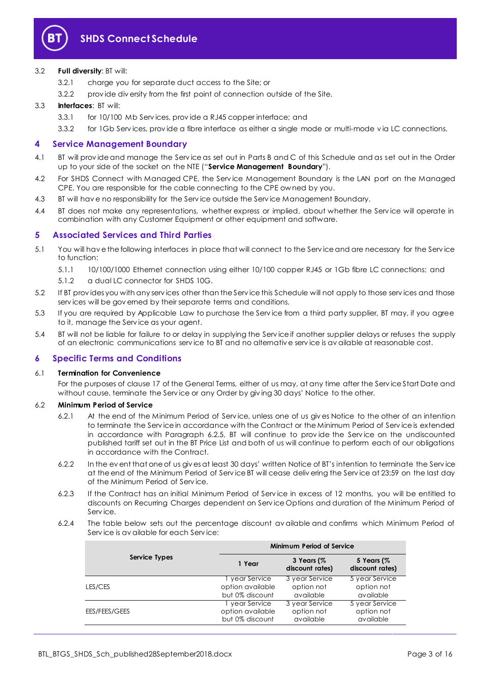

#### 3.2 **Full diversity**: BT will:

- 3.2.1 charge you for separate duct access to the Site; or
- 3.2.2 prov ide div ersity from the first point of connection outside of the Site.

#### 3.3 **Interfaces**: BT will:

- 3.3.1 for 10/100 Mb Serv ices, prov ide a RJ45 copper interface; and
- 3.3.2 for 1Gb Serv ices, prov ide a fibre interface as either a single mode or multi-mode v ia LC connections.

#### <span id="page-2-0"></span>**4 Service Management Boundary**

- <span id="page-2-3"></span>4.1 BT will prov ide and manage the Serv ice as set out in Parts B and C of this Schedule and as set out in the Order up to your side of the socket on the NTE ("**Service Management Boundary**").
- 4.2 For SHDS Connect with Managed CPE, the Service Management Boundary is the LAN port on the Managed CPE. You are responsible for the cable connecting to the CPE ow ned by you.
- 4.3 BT will hav e no responsibility for the Serv ice outside the Serv ice Management Boundary.
- 4.4 BT does not make any representations, whether express or implied, about whether the Service will operate in combination with any Customer Equipment or other equipment and software.

#### <span id="page-2-1"></span>**5 Associated Services and Third Parties**

- 5.1 You will hav e the following interfaces in place that will connect to the Serv ice and are necessary for the Serv ice to function:
	- 5.1.1 10/100/1000 Ethernet connection using either 10/100 copper RJ45 or 1Gb fibre LC connections; and
	- 5.1.2 a dual LC connector for SHDS 10G.
- 5.2 If BT prov ides you with any serv ices other than the Serv ice this Schedule will not apply to those serv ices and those serv ices will be gov erned by their separate terms and conditions.
- 5.3 If you are required by Applicable Law to purchase the Serv ice from a third party supplier, BT may, if you agree to it, manage the Serv ice as your agent.
- 5.4 BT will not be liable for failure to or delay in supplying the Serv ice if another supplier delays or refuses the supply of an electronic communications serv ice to BT and no alternativ e serv ice is av ailable at reasonable cost.

#### <span id="page-2-2"></span>**6 Specific Terms and Conditions**

#### 6.1 **Termination for Convenience**

For the purposes of clause 17 of the General Terms, either of us may, at any time after the Serv ice Start Date and without cause, terminate the Serv ice or any Order by giv ing 30 days' Notice to the other.

#### 6.2 **Minimum Period of Service**

- 6.2.1 At the end of the Minimum Period of Serv ice, unless one of us giv es Notice to the other of an intention to terminate the Serv ice in accordance with the Contract or the Minimum Period of Serv ice is extended in accordance with Paragraph [6.2.5,](#page-3-0) BT will continue to prov ide the Serv ice on the undiscounted published tariff set out in the BT Price List and both of us will continue to perform each of our obligations in accordance with the Contract.
- 6.2.2 In the ev ent that one of us giv es at least 30 days' written Notice of BT's intention to terminate the Serv ice at the end of the Minimum Period of Serv ice BT will cease deliv ering the Serv ice at 23:59 on the last day of the Minimum Period of Serv ice.
- 6.2.3 If the Contract has an initial Minimum Period of Serv ice in excess of 12 months, you will be entitled to discounts on Recurring Charges dependent on Serv ice Options and duration of the Minimum Period of Serv ice.
- 6.2.4 The table below sets out the percentage discount av ailable and confirms which Minimum Period of Serv ice is av ailable for each Serv ice:

|               | Minimum Period of Service           |                               |                               |  |
|---------------|-------------------------------------|-------------------------------|-------------------------------|--|
| Service Types | 1 Year                              | 3 Years (%<br>discount rates) | 5 Years (%<br>discount rates) |  |
|               | year Service                        | 3 year Service                | 5 year Service                |  |
| LES/CES       | option available<br>but 0% discount | option not<br>available       | option not<br>available       |  |
|               | year Service                        | 3 year Service                | 5 year Service                |  |
| EES/FEES/GEES | option available<br>but 0% discount | option not<br>available       | option not<br>available       |  |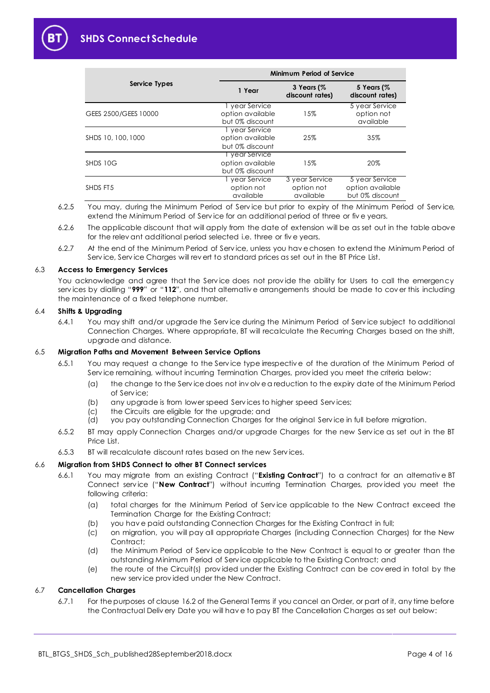

|                      | Minimum Period of Service                             |                                           |                                                       |  |
|----------------------|-------------------------------------------------------|-------------------------------------------|-------------------------------------------------------|--|
| Service Types        | 1 Year                                                | 3 Years $($ %<br>discount rates)          | 5 Years (%<br>discount rates)                         |  |
| GEES 2500/GEES 10000 | 1 year Service<br>option available<br>but 0% discount | 15%                                       | 5 year Service<br>option not<br>available             |  |
| SHDS 10, 100, 1000   | 1 year Service<br>option available<br>but 0% discount | 25%                                       | 35%                                                   |  |
| SHDS 10G             | I year Service<br>option available<br>but 0% discount | 15%                                       | 20%                                                   |  |
| SHDS FT5             | 1 year Service<br>option not<br>available             | 3 year Service<br>option not<br>available | 5 year Service<br>option available<br>but 0% discount |  |

<span id="page-3-0"></span>6.2.5 You may, during the Minimum Period of Serv ice but prior to expiry of the Minimum Period of Serv ice, extend the Minimum Period of Serv ice for an additional period of three or fiv e years.

- 6.2.6 The applicable discount that will apply from the date of extension will be as set out in the table above for the relev ant additional period selected i.e. three or fiv e years.
- 6.2.7 At the end of the Minimum Period of Serv ice, unless you hav e chosen to extend the Minimum Period of Serv ice, Serv ice Charges will rev ert to standard prices as set out in the BT Price List.

#### 6.3 **Access to Emergency Services**

You acknowledge and agree that the Service does not provide the ability for Users to call the emergency serv ices by dialling "**999**" or "**112**", and that alternativ e arrangements should be made to cov er this including the maintenance of a fixed telephone number.

#### 6.4 **Shifts & Upgrading**

6.4.1 You may shift and/or upgrade the Serv ice during the Minimum Period of Serv ice subject to additional Connection Charges. Where appropriate, BT will recalculate the Recurring Charges based on the shift, upgrade and distance.

#### 6.5 **Migration Paths and Movement Between Service Options**

- 6.5.1 You may request a change to the Serv ice type irrespectiv e of the duration of the Minimum Period of Service remaining, without incurring Termination Charges, provided you meet the criteria below:
	- (a) the change to the Serv ice does not inv olv e a reduction to the expiry date of the Minimum Period of Serv ice;
	- (b) any upgrade is from lower speed Serv ices to higher speed Serv ices;
	- (c) the Circuits are eligible for the upgrade; and
	- (d) you pay outstanding Connection Charges for the original Serv ice in full before migration.
- 6.5.2 BT may apply Connection Charges and/or upgrade Charges for the new Serv ice as set out in the BT Price List.
- 6.5.3 BT will recalculate discount rates based on the new Serv ices.

### <span id="page-3-1"></span>6.6 **Migration from SHDS Connect to other BT Connect services**

- 6.6.1 You may migrate from an existing Contract ("**Existing Contract**") to a contract for an alternativ e BT Connect serv ice ("**New Contract**") without incurring Termination Charges, prov ided you meet the following criteria:
	- (a) total charges for the Minimum Period of Serv ice applicable to the New Contract exceed the Termination Charge for the Existing Contract;
	- (b) you hav e paid outstanding Connection Charges for the Existing Contract in full;
	- (c) on migration, you will pay all appropriate Charges (including Connection Charges) for the New Contract;
	- (d) the Minimum Period of Serv ice applicable to the New Contract is equal to or greater than the outstanding Minimum Period of Serv ice applicable to the Existing Contract; and
	- (e) the route of the Circuit(s) prov ided under the Existing Contract can be cov ered in total by the new serv ice prov ided under the New Contract.

#### 6.7 **Cancellation Charges**

6.7.1 For the purposes of clause 16.2 of the General Terms if you cancel an Order, or part of it, any time before the Contractual Deliv ery Date you will hav e to pay BT the Cancellation Charges as set out below: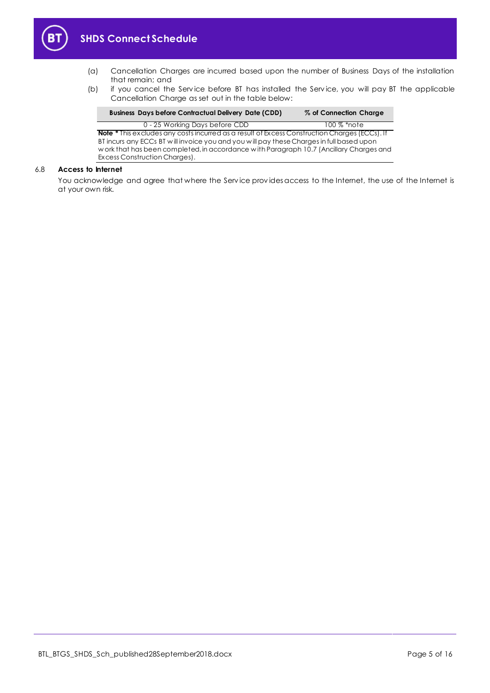

- (a) Cancellation Charges are incurred based upon the number of Business Days of the installation that remain; and
- (b) if you cancel the Serv ice before BT has installed the Serv ice, you will pay BT the applicable Cancellation Charge as set out in the table below:

| <b>Business Days before Contractual Delivery Date (CDD)</b>                                                                                                                                                                                                                                                                 | % of Connection Charge |
|-----------------------------------------------------------------------------------------------------------------------------------------------------------------------------------------------------------------------------------------------------------------------------------------------------------------------------|------------------------|
| 0 - 25 Working Days before CDD                                                                                                                                                                                                                                                                                              | $100\%$ *note          |
| <b>Note *</b> This excludes any costs incurred as a result of Excess Construction Charges (ECCs). If<br>BT incurs any ECCs BT will invoice you and you will pay these Charges in full based upon<br>work that has been completed, in accordance with Paragraph 10.7 (Ancillary Charges and<br>Excess Construction Charges). |                        |

#### 6.8 **Access to Internet**

You acknowledge and agree that where the Serv ice prov ides access to the Internet, the use of the Internet is at your own risk.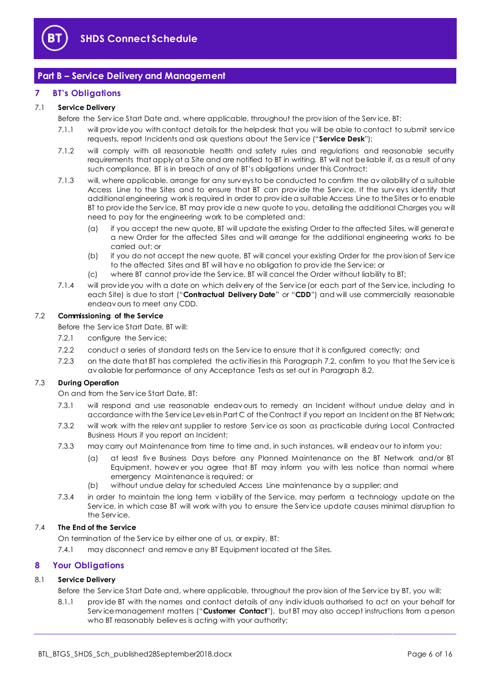

### <span id="page-5-0"></span>**Part B – Service Delivery and Management**

#### <span id="page-5-1"></span>**7 BT's Obligations**

#### <span id="page-5-9"></span>7.1 **Service Delivery**

Before the Serv ice Start Date and, where applicable, throughout the prov ision of the Serv ice, BT:

- 7.1.1 will prov ide you with contact details for the helpdesk that you will be able to contact to submit serv ice requests, report Incidents and ask questions about the Serv ice ("**Service Desk**");
- 7.1.2 will comply with all reasonable health and safety rules and regulations and reasonable security requirements that apply at a Site and are notified to BT in writing. BT will not be liable if, as a result of any such compliance, BT is in breach of any of BT's obligations under this Contract;
- 7.1.3 will, where applicable, arrange for any surv eys to be conducted to confirm the av ailability of a suitable Access Line to the Sites and to ensure that BT can prov ide the Serv ice. If the surv eys identify that additional engineering work is required in order to prov ide a suitable Access Line to the Sites or to enable BT to prov ide the Serv ice, BT may prov ide a new quote to you, detailing the additional Charges you will need to pay for the engineering work to be completed and:
	- (a) if you accept the new quote, BT will update the existing Order to the affected Sites, will generate a new Order for the affected Sites and will arrange for the additional engineering works to be carried out; or
	- (b) if you do not accept the new quote, BT will cancel your existing Order for the prov ision of Serv ice to the affected Sites and BT will hav e no obligation to prov ide the Serv ice; or
	- (c) where BT cannot prov ide the Serv ice, BT will cancel the Order without liability to BT;
- <span id="page-5-7"></span>7.1.4 will prov ide you with a date on which deliv ery of the Serv ice (or each part of the Serv ice, including to each Site) is due to start ("**Contractual Delivery Date**" or "**CDD**") and will use commercially reasonable endeav ours to meet any CDD.

#### <span id="page-5-3"></span>7.2 **Commissioning of the Service**

Before the Serv ice Start Date, BT will:

- 7.2.1 configure the Service;
- 7.2.2 conduct a series of standard tests on the Serv ice to ensure that it is configured correctly; and
- 7.2.3 on the date that BT has completed the activities in this Paragrap[h 7.2,](#page-5-3) confirm to you that the Service is av ailable for performance of any Acceptance Tests as set out in Paragrap[h 8.2.](#page-6-0)

#### <span id="page-5-5"></span><span id="page-5-4"></span>7.3 **During Operation**

On and from the Serv ice Start Date, BT:

- 7.3.1 will respond and use reasonable endeav ours to remedy an Incident without undue delay and in accordance with the Serv ice Lev els in Part C of the Contract if you report an Incident on the BT Network;
- <span id="page-5-6"></span>7.3.2 will work with the relev ant supplier to restore Serv ice as soon as practicable during Local Contracted Business Hours if you report an Incident;
- 7.3.3 may carry out Maintenance from time to time and, in such instances, will endeav our to inform you:
	- (a) at least fiv e Business Days before any Planned Maintenance on the BT Network and/or BT Equipment, howev er you agree that BT may inform you with less notice than normal where emergency Maintenance is required; or
	- (b) without undue delay for scheduled Access Line maintenance by a supplier; and
- 7.3.4 in order to maintain the long term v iability of the Serv ice, may perform a technology update on the Serv ice, in which case BT will work with you to ensure the Serv ice update causes minimal disruption to the Serv ice.

#### 7.4 **The End of the Service**

On termination of the Serv ice by either one of us, or expiry, BT:

7.4.1 may disconnect and remov e any BT Equipment located at the Sites.

#### <span id="page-5-2"></span>**8 Your Obligations**

#### <span id="page-5-8"></span>8.1 **Service Delivery**

Before the Serv ice Start Date and, where applicable, throughout the prov ision of the Serv ice by BT, you will:

8.1.1 prov ide BT with the names and contact details of any indiv iduals authorised to act on your behalf for Serv ice management matters ("**Customer Contact**"), but BT may also accept instructions from a person who BT reasonably believ es is acting with your authority;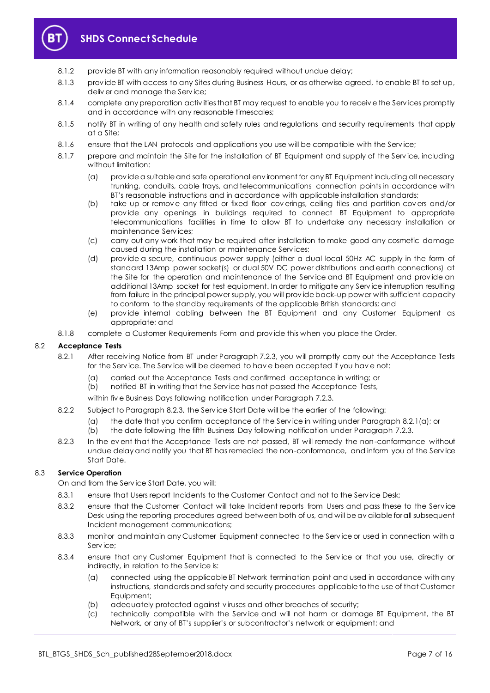

- 8.1.2 prov ide BT with any information reasonably required without undue delay;
- 8.1.3 provide BT with access to any Sites during Business Hours, or as otherwise agreed, to enable BT to set up, deliv er and manage the Serv ice;
- 8.1.4 complete any preparation activ ities that BT may request to enable you to receiv e the Serv ices promptly and in accordance with any reasonable timescales;
- 8.1.5 notify BT in writing of any health and safety rules and regulations and security requirements that apply at a Site;
- 8.1.6 ensure that the LAN protocols and applications you use will be compatible with the Service;
- 8.1.7 prepare and maintain the Site for the installation of BT Equipment and supply of the Serv ice, including without limitation:
	- (a) prov ide a suitable and safe operational env ironment for any BT Equipment including all necessary trunking, conduits, cable trays, and telecommunications connection points in accordance with BT's reasonable instructions and in accordance with applicable installation standards;
	- (b) take up or remov e any fitted or fixed floor cov erings, ceiling tiles and partition cov ers and/or prov ide any openings in buildings required to connect BT Equipment to appropriate telecommunications facilities in time to allow BT to undertake any necessary installation or maintenance Serv ices;
	- (c) carry out any work that may be required after installation to make good any cosmetic damage caused during the installation or maintenance Serv ices;
	- (d) prov ide a secure, continuous power supply (either a dual local 50Hz AC supply in the form of standard 13Amp power socket(s) or dual 50V DC power distributions and earth connections) at the Site for the operation and maintenance of the Serv ice and BT Equipment and prov ide an additional 13Amp socket for test equipment. In order to mitigate any Serv ice interruption resulting from failure in the principal power supply, you will prov ide back-up power with sufficient capacity to conform to the standby requirements of the applicable British standards; and
	- (e) prov ide internal cabling between the BT Equipment and any Customer Equipment as appropriate; and
- 8.1.8 complete a Customer Requirements Form and prov ide this when you place the Order.

#### <span id="page-6-2"></span><span id="page-6-0"></span>8.2 **Acceptance Tests**

- 8.2.1 After receiving Notice from BT under Paragrap[h 7.2.3,](#page-5-4) you will promptly carry out the Acceptance Tests for the Serv ice. The Serv ice will be deemed to hav e been accepted if you hav e not:
	- (a) carried out the Acceptance Tests and confirmed acceptance in writing; or
	- (b) notified BT in writing that the Serv ice has not passed the Acceptance Tests,

within fiv e Business Days following notification under Paragraph [7.2.3.](#page-5-4)

- 8.2.2 Subject to Paragraph [8.2.3,](#page-6-1) the Serv ice Start Date will be the earlier of the following:
	- (a) the date that you confirm acceptance of the Serv ice in writing under Paragrap[h 8.2.1\(a\);](#page-6-2) or
	- (b) the date following the fifth Business Day following notification under Paragrap[h 7.2.3.](#page-5-4)
- <span id="page-6-1"></span>8.2.3 In the ev ent that the Acceptance Tests are not passed, BT will remedy the non-conformance without undue delay and notify you that BT has remedied the non-conformance, and inform you of the Serv ice Start Date.

#### 8.3 **Service Operation**

On and from the Serv ice Start Date, you will:

- 8.3.1 ensure that Users report Incidents to the Customer Contact and not to the Service Desk;
- 8.3.2 ensure that the Customer Contact will take Incident reports from Users and pass these to the Serv ice Desk using the reporting procedures agreed between both of us, and will be av ailable for all subsequent Incident management communications;
- 8.3.3 monitor and maintain any Customer Equipment connected to the Serv ice or used in connection with a Service:
- 8.3.4 ensure that any Customer Equipment that is connected to the Serv ice or that you use, directly or indirectly, in relation to the Serv ice is:
	- (a) connected using the applicable BT Network termination point and used in accordance with any instructions, standards and safety and security procedures applicable to the use of that Customer Equipment;
	- (b) adequately protected against v iruses and other breaches of security;
	- (c) technically compatible with the Serv ice and will not harm or damage BT Equipment, the BT Network, or any of BT's supplier's or subcontractor's network or equipment; and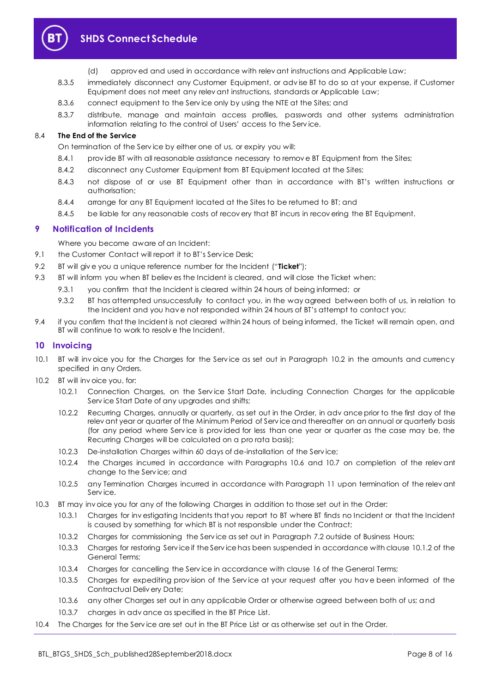

- (d) approv ed and used in accordance with relev ant instructions and Applicable Law;
- 8.3.5 immediately disconnect any Customer Equipment, or adv ise BT to do so at your expense, if Customer Equipment does not meet any relev ant instructions, standards or Applicable Law;
- 8.3.6 connect equipment to the Serv ice only by using the NTE at the Sites; and
- 8.3.7 distribute, manage and maintain access profiles, passwords and other systems administration information relating to the control of Users' access to the Serv ice.

#### 8.4 **The End of the Service**

On termination of the Serv ice by either one of us, or expiry you will:

- 8.4.1 provide BT with all reasonable assistance necessary to remove BT Equipment from the Sites;
- 8.4.2 disconnect any Customer Equipment from BT Equipment located at the Sites;
- 8.4.3 not dispose of or use BT Equipment other than in accordance with BT's written instructions or authorisation;
- 8.4.4 arrange for any BT Equipment located at the Sites to be returned to BT; and
- 8.4.5 be liable for any reasonable costs of recov ery that BT incurs in recov ering the BT Equipment.

#### <span id="page-7-0"></span>**9 Notification of Incidents**

Where you become aware of an Incident:

- 9.1 the Customer Contact will report it to BT's Service Desk;
- <span id="page-7-3"></span>9.2 BT will giv e you a unique reference number for the Incident ("**Ticket**");
- 9.3 BT will inform you when BT believ es the Incident is cleared, and will close the Ticket when:
	- 9.3.1 you confirm that the Incident is cleared within 24 hours of being informed; or
	- 9.3.2 BT has attempted unsuccessfully to contact you, in the way agreed between both of us, in relation to the Incident and you hav e not responded within 24 hours of BT's attempt to contact you;
- 9.4 if you confirm that the Incident is not cleared within 24 hours of being informed, the Ticket will remain open, and BT will continue to work to resolv e the Incident.

#### <span id="page-7-1"></span>**10 Invoicing**

- 10.1 BT will inv oice you for the Charges for the Serv ice as set out in Paragraph [10.2](#page-7-2) in the amounts and currency specified in any Orders.
- <span id="page-7-2"></span>10.2 BT will invoice you, for:
	- 10.2.1 Connection Charges, on the Serv ice Start Date, including Connection Charges for the applicable Serv ice Start Date of any upgrades and shifts;
	- 10.2.2 Recurring Charges, annually or quarterly, as set out in the Order, in adv ance prior to the first day of the relev ant year or quarter of the Minimum Period of Serv ice and thereafter on an annual or quarterly basis (for any period where Serv ice is prov ided for less than one year or quarter as the case may be, the Recurring Charges will be calculated on a pro rata basis);
	- 10.2.3 De-installation Charges within 60 days of de-installation of the Serv ice;
	- 10.2.4 the Charges incurred in accordance with Paragraphs [10.6](#page-8-2) and [10.7](#page-8-1) on completion of the relev ant change to the Serv ice; and
	- 10.2.5 any Termination Charges incurred in accordance with Paragraph [11](#page-8-0) upon termination of the relev ant Serv ice.
- 10.3 BT may inv oice you for any of the following Charges in addition to those set out in the Order:
	- 10.3.1 Charges for inv estigating Incidents that you report to BT where BT finds no Incident or that the Incident is caused by something for which BT is not responsible under the Contract;
	- 10.3.2 Charges for commissioning the Serv ice as set out in Paragrap[h 7.2](#page-5-3) outside of Business Hours;
	- 10.3.3 Charges for restoring Serv ice if the Serv ice has been suspended in accordance with clause 10.1.2 of the General Terms;
	- 10.3.4 Charges for cancelling the Serv ice in accordance with clause 16 of the General Terms;
	- 10.3.5 Charges for expediting prov ision of the Serv ice at your request after you hav e been informed of the Contractual Deliv ery Date;
	- 10.3.6 any other Charges set out in any applicable Order or otherwise agreed between both of us; and
	- 10.3.7 charges in adv ance as specified in the BT Price List.
- 10.4 The Charges for the Serv ice are set out in the BT Price List or as otherwise set out in the Order.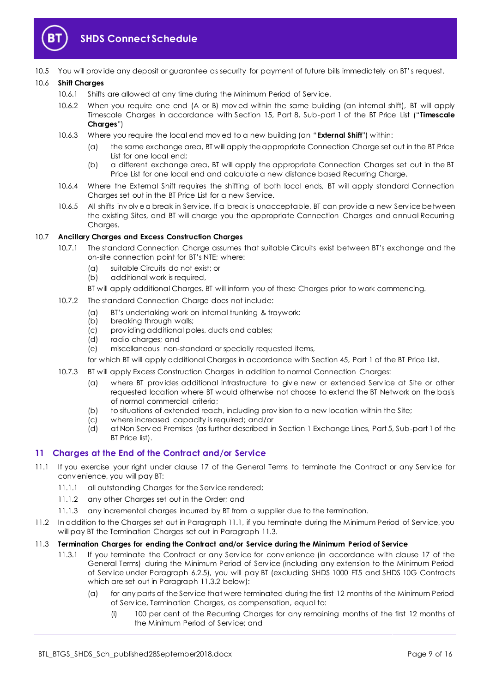

10.5 You will prov ide any deposit or guarantee as security for payment of future bills immediately on BT's request.

#### <span id="page-8-6"></span><span id="page-8-2"></span>10.6 **Shift Charges**

- 10.6.1 Shifts are allowed at any time during the Minimum Period of Serv ice.
- 10.6.2 When you require one end (A or B) mov ed within the same building (an internal shift), BT will apply Timescale Charges in accordance with Section 15, Part 8, Sub-part 1 of the BT Price List ("**Timescale Charges**")
- <span id="page-8-5"></span>10.6.3 Where you require the local end mov ed to a new building (an "**External Shift**") within:
	- (a) the same exchange area, BT will apply the appropriate Connection Charge set out in the BT Price List for one local end;
	- (b) a different exchange area, BT will apply the appropriate Connection Charges set out in the BT Price List for one local end and calculate a new distance based Recurring Charge.
- 10.6.4 Where the External Shift requires the shifting of both local ends, BT will apply standard Connection Charges set out in the BT Price List for a new Serv ice.
- 10.6.5 All shifts inv olv e a break in Serv ice. If a break is unacceptable, BT can prov ide a new Serv ice between the existing Sites, and BT will charge you the appropriate Connection Charges and annual Recurring Charges.

#### <span id="page-8-1"></span>10.7 **Ancillary Charges and Excess Construction Charges**

- 10.7.1 The standard Connection Charge assumes that suitable Circuits exist between BT's exchange and the on-site connection point for BT's NTE; where:
	- (a) suitable Circuits do not exist; or
	- (b) additional work is required,
	- BT will apply additional Charges. BT will inform you of these Charges prior to work commencing.
- 10.7.2 The standard Connection Charge does not include:
	- (a) BT's undertaking work on internal trunking & traywork;
	- (b) breaking through walls;
	- (c) prov iding additional poles, ducts and cables;
	- (d) radio charges; and
	- (e) miscellaneous non-standard or specially requested items,
	- for which BT will apply additional Charges in accordance with Section 45, Part 1 of the BT Price List.
- 10.7.3 BT will apply Excess Construction Charges in addition to normal Connection Charges:
	- (a) where BT prov ides additional infrastructure to giv e new or extended Serv ice at Site or other requested location where BT would otherwise not choose to extend the BT Network on the basis of normal commercial criteria;
	- (b) to situations of extended reach, including provision to a new location within the Site;
	- (c) where increased capacity is required; and/or
	- (d) at Non Serv ed Premises (as further described in Section 1 Exchange Lines, Part 5, Sub-part 1 of the BT Price list).

### <span id="page-8-0"></span>**11 Charges at the End of the Contract and/or Service**

- <span id="page-8-3"></span>11.1 If you exercise your right under clause 17 of the General Terms to terminate the Contract or any Service for conv enience, you will pay BT:
	- 11.1.1 all outstanding Charges for the Serv ice rendered;
	- 11.1.2 any other Charges set out in the Order; and
	- 11.1.3 any incremental charges incurred by BT from a supplier due to the termination.
- 11.2 In addition to the Charges set out in Paragraph [11.1,](#page-8-3) if you terminate during the Minimum Period of Serv ice, you will pay BT the Termination Charges set out in Paragraph [11.3.](#page-8-4)

#### <span id="page-8-4"></span>11.3 **Termination Charges for ending the Contract and/or Service during the Minimum Period of Service**

- 11.3.1 If you terminate the Contract or any Serv ice for conv enience (in accordance with clause 17 of the General Terms) during the Minimum Period of Serv ice (including any extension to the Minimum Period of Serv ice under Paragraph [6.2.5\)](#page-3-0), you will pay BT (excluding SHDS 1000 FT5 and SHDS 10G Contracts which are set out in Paragraph [11.3.2](#page-9-2) below):
	- (a) for any parts of the Serv ice that were terminated during the first 12 months of the Minimum Period of Serv ice, Termination Charges, as compensation, equal to:
		- (i) 100 per cent of the Recurring Charges for any remaining months of the first 12 months of the Minimum Period of Serv ice; and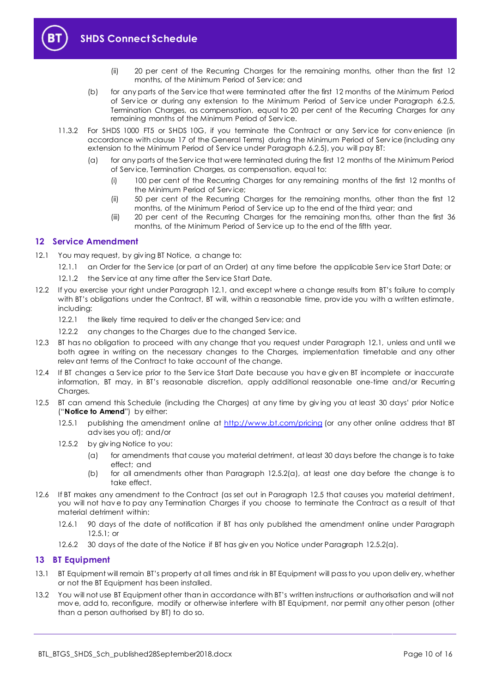

- (ii) 20 per cent of the Recurring Charges for the remaining months, other than the first 12 months, of the Minimum Period of Serv ice; and
- (b) for any parts of the Serv ice that were terminated after the first 12 months of the Minimum Period of Serv ice or during any extension to the Minimum Period of Serv ice under Paragraph [6.2.5,](#page-3-0) Termination Charges, as compensation, equal to 20 per cent of the Recurring Charges for any remaining months of the Minimum Period of Serv ice.
- <span id="page-9-2"></span>11.3.2 For SHDS 1000 FT5 or SHDS 10G, if you terminate the Contract or any Service for convenience (in accordance with clause 17 of the General Terms) during the Minimum Period of Serv ice (including any extension to the Minimum Period of Serv ice under Paragrap[h 6.2.5\)](#page-3-0), you will pay BT:
	- (a) for any parts of the Serv ice that were terminated during the first 12 months of the Minimum Period of Serv ice, Termination Charges, as compensation, equal to:
		- (i) 100 per cent of the Recurring Charges for any remaining months of the first 12 months of the Minimum Period of Serv ice;
		- (ii) 50 per cent of the Recurring Charges for the remaining months, other than the first 12 months, of the Minimum Period of Serv ice up to the end of the third year; and
		- (iii) 20 per cent of the Recurring Charges for the remaining months, other than the first 36 months, of the Minimum Period of Serv ice up to the end of the fifth year.

#### <span id="page-9-0"></span>**12 Service Amendment**

- <span id="page-9-3"></span>12.1 You may request, by giving BT Notice, a change to:
	- 12.1.1 an Order for the Service (or part of an Order) at any time before the applicable Service Start Date; or
	- 12.1.2 the Service at any time after the Service Start Date.
- 12.2 If you exercise your right under Paragraph [12.1,](#page-9-3) and except where a change results from BT's failure to comply with BT's obligations under the Contract, BT will, within a reasonable time, provide you with a written estimate, including:
	- 12.2.1 the likely time required to deliver the changed Service; and
	- 12.2.2 any changes to the Charges due to the changed Service.
- 12.3 BT has no obligation to proceed with any change that you request under Paragraph [12.1,](#page-9-3) unless and until we both agree in writing on the necessary changes to the Charges, implementation timetable and any other relev ant terms of the Contract to take account of the change.
- 12.4 If BT changes a Serv ice prior to the Serv ice Start Date because you hav e giv en BT incomplete or inaccurate information, BT may, in BT's reasonable discretion, apply additional reasonable one-time and/or Recurring Charges.
- <span id="page-9-6"></span><span id="page-9-5"></span>12.5 BT can amend this Schedule (including the Charges) at any time by giv ing you at least 30 days' prior Notice ("**Notice to Amend**") by either:
	- 12.5.1 publishing the amendment online at<http://www.bt.com/pricing> (or any other online address that BT adv ises you of); and/or
	- 12.5.2 by giv ing Notice to you:
		- (a) for amendments that cause you material detriment, at least 30 days before the change is to take effect; and
		- (b) for all amendments other than Paragraph [12.5.2\(a\),](#page-9-4) at least one day before the change is to take effect.
- <span id="page-9-4"></span>12.6 If BT makes any amendment to the Contract (as set out in Paragraph [12.5](#page-9-5) that causes you material detriment, you will not hav e to pay any Termination Charges if you choose to terminate the Contract as a result of that material detriment within:
	- 12.6.1 90 days of the date of notification if BT has only published the amendment online under Paragraph [12.5.1;](#page-9-6) or
	- 12.6.2 30 days of the date of the Notice if BT has giv en you Notice under Paragraph [12.5.2\(a\).](#page-9-4)

#### <span id="page-9-1"></span>**13 BT Equipment**

- 13.1 BT Equipment will remain BT's property at all times and risk in BT Equipment will pass to you upon deliv ery, whether or not the BT Equipment has been installed.
- 13.2 You will not use BT Equipment other than in accordance with BT's written instructions or authorisation and will not mov e, add to, reconfigure, modify or otherwise interfere with BT Equipment, nor permit any other person (other than a person authorised by BT) to do so.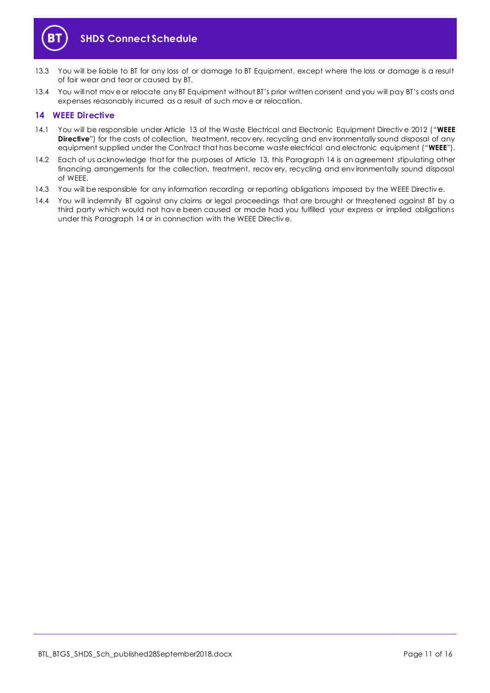

- 13.3 You will be liable to BT for any loss of or damage to BT Equipment, except where the loss or damage is a result of fair wear and tear or caused by BT.
- 13.4 You will not mov e or relocate any BT Equipment without BT's prior written consent and you will pay BT's costs and expenses reasonably incurred as a result of such mov e or relocation.

#### <span id="page-10-0"></span>**14 WEEE Directive**

- <span id="page-10-1"></span>14.1 You will be responsible under Article 13 of the Waste Electrical and Electronic Equipment Directiv e 2012 ("**WEEE Directive**") for the costs of collection, treatment, recov ery, recycling and environmentally sound disposal of any equipment supplied under the Contract that has become waste electrical and electronic equipment ("**WEEE**").
- 14.2 Each of us acknowledge that for the purposes of Article 13, this Paragraph [14](#page-10-0) is an agreement stipulating other financing arrangements for the collection, treatment, recov ery, recycling and env ironmentally sound disposal of WEEE.
- 14.3 You will be responsible for any information recording or reporting obligations imposed by the WEEE Directiv e.
- 14.4 You will indemnify BT against any claims or legal proceedings that are brought or threatened against BT by a third party which would not hav e been caused or made had you fulfilled your express or implied obligations under this Paragraph [14](#page-10-0) or in connection with the WEEE Directiv e.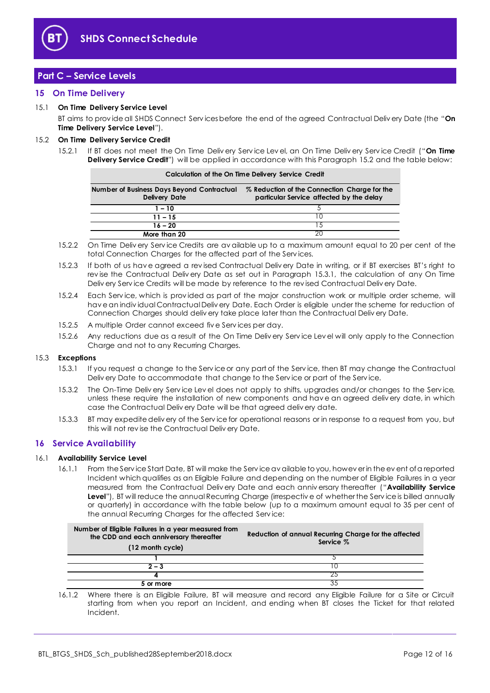

### <span id="page-11-0"></span>**Part C – Service Levels**

#### <span id="page-11-1"></span>**15 On Time Delivery**

#### <span id="page-11-7"></span>15.1 **On Time Delivery Service Level**

BT aims to prov ide all SHDS Connect Serv ices before the end of the agreed Contractual Deliv ery Date (the "**On Time Delivery Service Level**").

#### <span id="page-11-6"></span><span id="page-11-3"></span>15.2 **On Time Delivery Service Credit**

15.2.1 If BT does not meet the On Time Deliv ery Serv ice Lev el, an On Time Deliv ery Serv ice Credit ("**On Time Delivery Service Credit**") will be applied in accordance with this Paragraph [15.2](#page-11-3) and the table below:

| Calculation of the On Time Delivery Service Credit                 |                                                                                          |  |  |
|--------------------------------------------------------------------|------------------------------------------------------------------------------------------|--|--|
| Number of Business Days Beyond Contractual<br><b>Delivery Date</b> | % Reduction of the Connection Charge for the<br>particular Service affected by the delay |  |  |
| $1 - 10$                                                           |                                                                                          |  |  |
| $11 - 15$                                                          |                                                                                          |  |  |
| $16 - 20$                                                          | $\overline{5}$                                                                           |  |  |
| More than 20                                                       |                                                                                          |  |  |

- 15.2.2 On Time Deliv ery Serv ice Credits are av ailable up to a maximum amount equal to 20 per cent of the total Connection Charges for the affected part of the Serv ices.
- 15.2.3 If both of us hav e agreed a rev ised Contractual Deliv ery Date in writing, or if BT exercises BT's right to rev ise the Contractual Deliv ery Date as set out in Paragraph [15.3.1,](#page-11-4) the calculation of any On Time Deliv ery Serv ice Credits will be made by reference to the rev ised Contractual Deliv ery Date.
- 15.2.4 Each Serv ice, which is prov ided as part of the major construction work or multiple order scheme, will hav e an indiv idual Contractual Deliv ery Date. Each Order is eligible under the scheme for reduction of Connection Charges should deliv ery take place later than the Contractual Deliv ery Date.
- 15.2.5 A multiple Order cannot exceed fiv e Serv ices per day.
- 15.2.6 Any reductions due as a result of the On Time Deliv ery Serv ice Lev el will only apply to the Connection Charge and not to any Recurring Charges.

#### <span id="page-11-4"></span>15.3 **Exceptions**

- 15.3.1 If you request a change to the Serv ice or any part of the Serv ice, then BT may change the Contractual Deliv ery Date to accommodate that change to the Serv ice or part of the Serv ice.
- 15.3.2 The On-Time Deliv ery Serv ice Lev el does not apply to shifts, upgrades and/or changes to the Serv ice, unless these require the installation of new components and hav e an agreed deliv ery date, in which case the Contractual Deliv ery Date will be that agreed deliv ery date.
- 15.3.3 BT may expedite deliv ery of the Serv ice for operational reasons or in response to a request from you, but this will not rev ise the Contractual Deliv ery Date.

#### <span id="page-11-2"></span>**16 Service Availability**

#### <span id="page-11-5"></span>16.1 **Availability Service Level**

16.1.1 From the Serv ice Start Date, BT will make the Serv ice av ailable to you, howev er in the ev ent of a reported Incident which qualifies as an Eligible Failure and depending on the number of Eligible Failures in a year measured from the Contractual Deliv ery Date and each anniv ersary thereafter ("**Availability Service**  Level"), BT will reduce the annual Recurring Charge (irrespective of whether the Service is billed annually or quarterly) in accordance with the table below (up to a maximum amount equal to 35 per cent of the annual Recurring Charges for the affected Serv ice:

| Number of Eligible Failures in a year measured from<br>the CDD and each anniversary thereafter<br>(12 month cycle) | Reduction of annual Recurring Charge for the affected<br>Service % |
|--------------------------------------------------------------------------------------------------------------------|--------------------------------------------------------------------|
|                                                                                                                    |                                                                    |
| 2 – 3                                                                                                              |                                                                    |
|                                                                                                                    |                                                                    |
| 5 or more                                                                                                          | 35                                                                 |

16.1.2 Where there is an Eligible Failure, BT will measure and record any Eligible Failure for a Site or Circuit starting from when you report an Incident, and ending when BT closes the Ticket for that related Incident.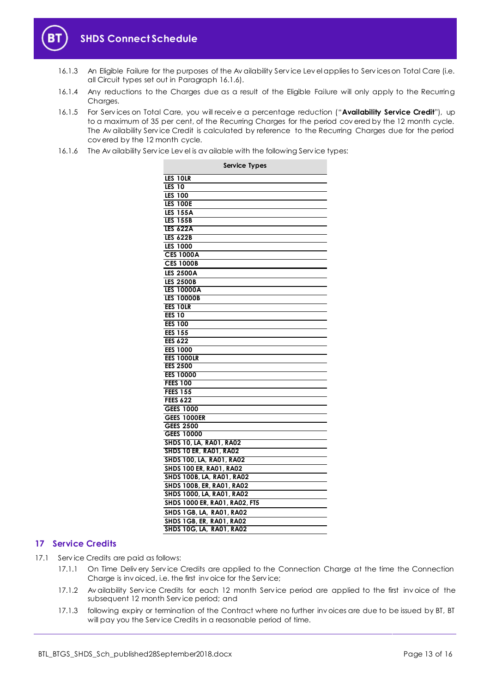

- 16.1.3 An Eligible Failure for the purposes of the Av ailability Serv ice Lev el applies to Serv ices on Total Care (i.e. all Circuit types set out in Paragraph [16.1.6\)](#page-12-1).
- 16.1.4 Any reductions to the Charges due as a result of the Eligible Failure will only apply to the Recurring Charges.
- <span id="page-12-2"></span>16.1.5 For Serv ices on Total Care, you will receiv e a percentage reduction ("**Availability Service Credit**"), up to a maximum of 35 per cent, of the Recurring Charges for the period covered by the 12 month cycle. The Av ailability Service Credit is calculated by reference to the Recurring Charges due for the period cov ered by the 12 month cycle.
- <span id="page-12-1"></span>16.1.6 The Av ailability Serv ice Lev el is av ailable with the following Serv ice types:

| <b>Service Types</b>           |
|--------------------------------|
| LES 10LR                       |
| <b>LES 10</b>                  |
| <b>LES 100</b>                 |
| <b>LES 100E</b>                |
| <b>LES 155A</b>                |
| <b>LES 155B</b>                |
| <b>LES 622A</b>                |
| <b>LES 622B</b>                |
| <b>LES 1000</b>                |
| <b>CES 1000A</b>               |
| <b>CES 1000B</b>               |
| <b>LES 2500A</b>               |
| <b>LES 2500B</b>               |
| <b>LES 10000A</b>              |
| <b>LES 10000B</b>              |
| EES 10LR                       |
| <b>EES 10</b>                  |
| <b>EES 100</b>                 |
| <b>EES 155</b>                 |
| <b>EES 622</b>                 |
| <b>EES 1000</b>                |
| <b>EES 1000LR</b>              |
| <b>EES 2500</b>                |
| <b>EES 10000</b>               |
| <b>FEES 100</b>                |
| <b>FEES 155</b>                |
| <b>FEES 622</b>                |
| <b>GEES 1000</b>               |
| <b>GEES 1000ER</b>             |
| <b>GEES 2500</b>               |
| <b>GEES 10000</b>              |
| SHDS 10, LA, RA01, RA02        |
| <b>SHDS 10 ER, RA01, RA02</b>  |
| SHDS 100, LA, RA01, RA02       |
| <b>SHDS 100 ER. RA01. RA02</b> |
| SHDS 100B, LA, RA01, RA02      |
| SHDS 100B, ER, RA01, RA02      |
| SHDS 1000, LA, RA01, RA02      |
| SHDS 1000 ER, RA01, RA02, FT5  |
| SHDS 1GB, LA, RA01, RA02       |
| SHDS 1GB, ER, RA01, RA02       |
| SHDS 10G, LA, RA01, RA02       |

#### <span id="page-12-0"></span>**17 Service Credits**

17.1 Serv ice Credits are paid as follows:

- 17.1.1 On Time Deliv ery Service Credits are applied to the Connection Charge at the time the Connection Charge is inv oiced, i.e. the first inv oice for the Serv ice;
- 17.1.2 Av ailability Serv ice Credits for each 12 month Serv ice period are applied to the first inv oice of the subsequent 12 month Serv ice period; and
- 17.1.3 following expiry or termination of the Contract where no further inv oices are due to be issued by BT, BT will pay you the Serv ice Credits in a reasonable period of time.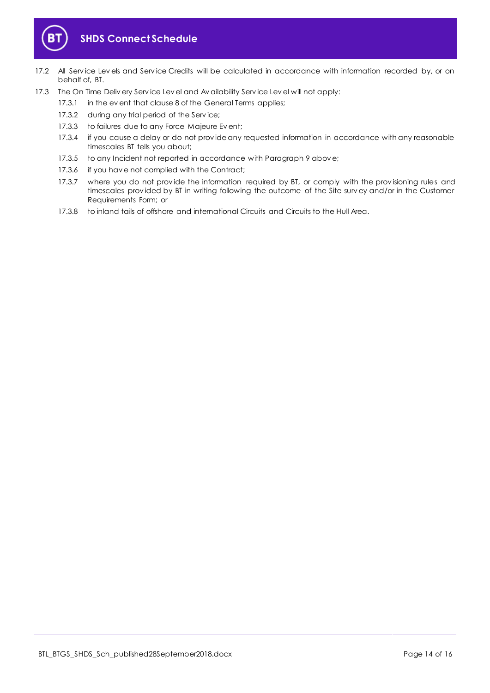

- 17.2 All Service Levels and Service Credits will be calculated in accordance with information recorded by, or on behalf of, BT.
- 17.3 The On Time Deliv ery Service Lev el and Av ailability Service Lev el will not apply:
	- 17.3.1 in the ev ent that clause 8 of the General Terms applies;
	- 17.3.2 during any trial period of the Service;
	- 17.3.3 to failures due to any Force Majeure Ev ent;
	- 17.3.4 if you cause a delay or do not prov ide any requested information in accordance with any reasonable timescales BT tells you about;
	- 17.3.5 to any Incident not reported in accordance with Paragrap[h 9](#page-7-0) abov e;
	- 17.3.6 if you hav e not complied with the Contract;
	- 17.3.7 where you do not provide the information required by BT, or comply with the provisioning rules and timescales prov ided by BT in writing following the outcome of the Site surv ey and/or in the Customer Requirements Form; or
	- 17.3.8 to inland tails of offshore and international Circuits and Circuits to the Hull Area.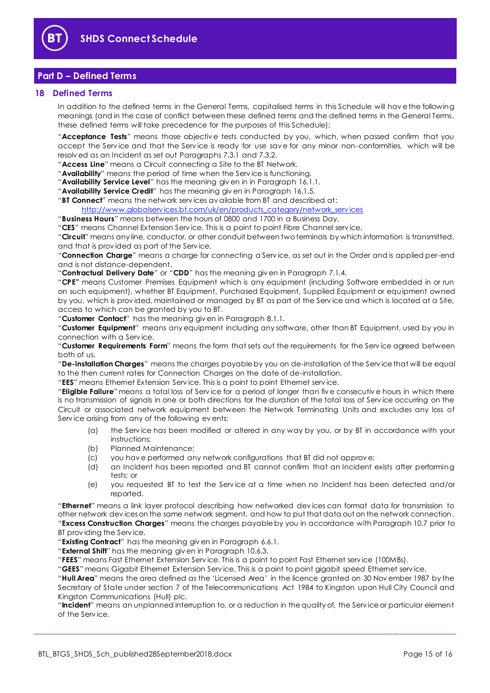

### <span id="page-14-0"></span>**Part D – Defined Terms**

#### <span id="page-14-1"></span>**18 Defined Terms**

In addition to the defined terms in the General Terms, capitalised terms in this Schedule will hav e the following meanings (and in the case of conflict between these defined terms and the defined terms in the General Terms, these defined terms will take precedence for the purposes of this Schedule):

"**Acceptance Tests**" means those objectiv e tests conducted by you, which, when passed confirm that you accept the Serv ice and that the Serv ice is ready for use sav e for any minor non-conformities, which will be resolv ed as an Incident as set out Paragraphs [7.3.1](#page-5-5) an[d 7.3.2.](#page-5-6)

"**Access Line**" means a Circuit connecting a Site to the BT Network.

"**Availability**" means the period of time when the Serv ice is functioning.

"**Availability Service Level**" has the meaning giv en in in Paragraph [16.1.1.](#page-11-5)

"**Availability Service Credit**" has the meaning giv en in Paragraph [16.1.5.](#page-12-2)

"**BT Connect**" means the network serv ices av ailable from BT and described at:

http://www.globalservices.bt.com/uk/en/products\_category/network\_services

"**Business Hours**" means between the hours of 0800 and 1700 in a Business Day.

"**CES**" means Channel Extension Serv ice. This is a point to point Fibre Channel serv ice.

"**Circuit**" means any line, conductor, or other conduit between two terminals by which information is transmitted, and that is prov ided as part of the Serv ice.

"**Connection Charge**" means a charge for connecting a Serv ice, as set out in the Order and is applied per-end and is not distance-dependent.

"**Contractual Delivery Date**" or "**CDD**" has the meaning giv en in Paragraph [7.1.4.](#page-5-7)

"**CPE"** means Customer Premises Equipment which is any equipment (including Software embedded in or run on such equipment), whether BT Equipment, Purchased Equipment, Supplied Equipment or equipment owned by you, which is prov ided, maintained or managed by BT as part of the Serv ice and which is located at a Site, access to which can be granted by you to BT.

"**Customer Contact**" has the meaning giv en in Paragraph [8.1.1.](#page-5-8)

"**Customer Equipment**" means any equipment including any software, other than BT Equipment, used by you in connection with a Serv ice.

"**Customer Requirements Form**" means the form that sets out the requirements for the Serv ice agreed between both of us.

"**De-installation Charges**" means the charges payable by you on de-installation of the Serv ice that will be equal to the then current rates for Connection Charges on the date of de-installation.

"**EES**" means Ethernet Extension Serv ice. This is a point to point Ethernet serv ice.

"**Eligible Failure**"means a total loss of Serv ice for a period of longer than fiv e consecutiv e hours in which there is no transmission of signals in one or both directions for the duration of the total loss of Service occurring on the Circuit or associated network equipment between the Network Terminating Units and excludes any loss of Serv ice arising from any of the following ev ents:

- (a) the Serv ice has been modified or altered in any way by you, or by BT in accordance with your instructions;
- (b) Planned Maintenance;
- (c) you hav e performed any network configurations that BT did not approv e;
- (d) an Incident has been reported and BT cannot confirm that an Incident exists after performing tests; or
- (e) you requested BT to test the Serv ice at a time when no Incident has been detected and/or reported.

"**Ethernet**" means a link layer protocol describing how networked dev ices can format data for transmission to other network dev ices on the same network segment, and how to put that data out on the network connection. "**Excess Construction Charges**" means the charges payable by you in accordance with Paragrap[h 10.7](#page-8-1) prior to BT prov iding the Serv ice.

"**Existing Contract**" has the meaning giv en in Paragraph [6.6.1.](#page-3-1)

"**External Shift**" has the meaning giv en in Paragraph [10.6.3.](#page-8-5)

"**FEES**" means Fast Ethernet Extension Serv ice. This is a point to point Fast Ethernet serv ice (100MBs).

"**GEES**" means Gigabit Ethernet Extension Serv ice. This is a point to point gigabit speed Ethernet serv ice.

"**Hull Area**" means the area defined as the 'Licensed Area' in the licence granted on 30 Nov ember 1987 by the Secretary of State under section 7 of the Telecommunications Act 1984 to Kingston upon Hull City Council and Kingston Communications (Hull) plc.

"**Incident**" means an unplanned interruption to, or a reduction in the quality of, the Serv ice or particular element of the Serv ice.